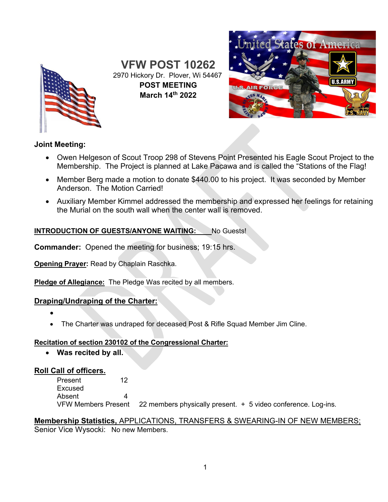

**VFW POST 10262** 2970 Hickory Dr. Plover, Wi 54467 **POST MEETING March 14th 2022**



# **Joint Meeting:**

- Owen Helgeson of Scout Troop 298 of Stevens Point Presented his Eagle Scout Project to the Membership. The Project is planned at Lake Pacawa and is called the "Stations of the Flag!
- Member Berg made a motion to donate \$440.00 to his project. It was seconded by Member Anderson. The Motion Carried!
- Auxiliary Member Kimmel addressed the membership and expressed her feelings for retaining the Murial on the south wall when the center wall is removed.

### **INTRODUCTION OF GUESTS/ANYONE WAITING:** No Guests!

**Commander:** Opened the meeting for business; 19:15 hrs.

**Opening Prayer:** Read by Chaplain Raschka.

**Pledge of Allegiance:** The Pledge Was recited by all members.

# **Draping/Undraping of the Charter:**

- •
- The Charter was undraped for deceased Post & Rifle Squad Member Jim Cline.

### **Recitation of section 230102 of the Congressional Charter:**

• **Was recited by all.**

# **Roll Call of officers.**

Present 12 Excused Absent<br>VFW Members Present 22 members physically present.  $+ 5$  video conference. Log-ins.

# **Membership Statistics,** APPLICATIONS, TRANSFERS & SWEARING-IN OF NEW MEMBERS; Senior Vice Wysocki: No new Members.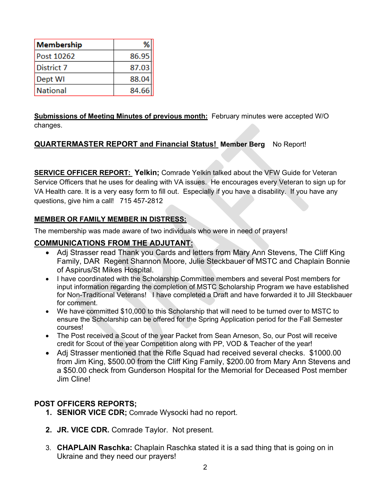| Membership | %     |
|------------|-------|
| Post 10262 | 86.95 |
| District 7 | 87.03 |
| Dept WI    | 88.04 |
| National   | 84.66 |

**Submissions of Meeting Minutes of previous month:** February minutes were accepted W/O changes.

# **QUARTERMASTER REPORT and Financial Status! Member Berg** No Report!

**SERVICE OFFICER REPORT: Yelkin;** Comrade Yelkin talked about the VFW Guide for Veteran Service Officers that he uses for dealing with VA issues. He encourages every Veteran to sign up for VA Health care. It is a very easy form to fill out. Especially if you have a disability. If you have any questions, give him a call! 715 457-2812

### **MEMBER OR FAMILY MEMBER IN DISTRESS:**

The membership was made aware of two individuals who were in need of prayers!

### **COMMUNICATIONS FROM THE ADJUTANT:**

- Adj Strasser read Thank you Cards and letters from Mary Ann Stevens, The Cliff King Family, DAR Regent Shannon Moore, Julie Steckbauer of MSTC and Chaplain Bonnie of Aspirus/St Mikes Hospital.
- I have coordinated with the Scholarship Committee members and several Post members for input information regarding the completion of MSTC Scholarship Program we have established for Non-Traditional Veterans! I have completed a Draft and have forwarded it to Jill Steckbauer for comment.
- We have committed \$10,000 to this Scholarship that will need to be turned over to MSTC to ensure the Scholarship can be offered for the Spring Application period for the Fall Semester courses!
- The Post received a Scout of the year Packet from Sean Arneson, So, our Post will receive credit for Scout of the year Competition along with PP, VOD & Teacher of the year!
- Adj Strasser mentioned that the Rifle Squad had received several checks. \$1000.00 from Jim King, \$500.00 from the Cliff King Family, \$200.00 from Mary Ann Stevens and a \$50.00 check from Gunderson Hospital for the Memorial for Deceased Post member Jim Cline!

### **POST OFFICERS REPORTS;**

- **1. SENIOR VICE CDR;** Comrade Wysocki had no report.
- **2. JR. VICE CDR.** Comrade Taylor. Not present.
- 3. **CHAPLAIN Raschka:** Chaplain Raschka stated it is a sad thing that is going on in Ukraine and they need our prayers!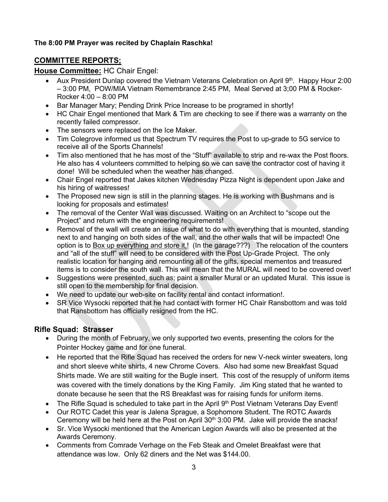# **The 8:00 PM Prayer was recited by Chaplain Raschka!**

# **COMMITTEE REPORTS;**

#### **House Committee:** HC Chair Engel:

- Aux President Dunlap covered the Vietnam Veterans Celebration on April 9<sup>th</sup>. Happy Hour 2:00 – 3:00 PM, POW/MIA Vietnam Remembrance 2:45 PM, Meal Served at 3;00 PM & Rocker-Rocker 4:00 – 8:00 PM
- Bar Manager Mary; Pending Drink Price Increase to be programed in shortly!
- HC Chair Engel mentioned that Mark & Tim are checking to see if there was a warranty on the recently failed compressor.
- The sensors were replaced on the Ice Maker.
- Tim Colegrove informed us that Spectrum TV requires the Post to up-grade to 5G service to receive all of the Sports Channels!
- Tim also mentioned that he has most of the "Stuff" available to strip and re-wax the Post floors. He also has 4 volunteers committed to helping so we can save the contractor cost of having it done! Will be scheduled when the weather has changed.
- Chair Engel reported that Jakes kitchen Wednesday Pizza Night is dependent upon Jake and his hiring of waitresses!
- The Proposed new sign is still in the planning stages. He is working with Bushmans and is looking for proposals and estimates!
- The removal of the Center Wall was discussed. Waiting on an Architect to "scope out the Project" and return with the engineering requirements!
- Removal of the wall will create an issue of what to do with everything that is mounted, standing next to and hanging on both sides of the wall, and the other walls that will be impacted! One option is to Box up everything and store it,! (In the garage???) The relocation of the counters and "all of the stuff" will need to be considered with the Post Up-Grade Project. The only realistic location for hanging and remounting all of the gifts, special mementos and treasured items is to consider the south wall. This will mean that the MURAL will need to be covered over!
- Suggestions were presented, such as; paint a smaller Mural or an updated Mural. This issue is still open to the membership for final decision.
- We need to update our web-site on facility rental and contact information!.
- SR Vice Wysocki reported that he had contact with former HC Chair Ransbottom and was told that Ransbottom has officially resigned from the HC.

### **Rifle Squad: Strasser**

- During the month of February, we only supported two events, presenting the colors for the Pointer Hockey game and for one funeral.
- He reported that the Rifle Squad has received the orders for new V-neck winter sweaters, long and short sleeve white shirts, 4 new Chrome Covers. Also had some new Breakfast Squad Shirts made. We are still waiting for the Bugle insert. This cost of the resupply of uniform items was covered with the timely donations by the King Family. Jim King stated that he wanted to donate because he seen that the RS Breakfast was for raising funds for uniform items.
- The Rifle Squad is scheduled to take part in the April 9<sup>th</sup> Post Vietnam Veterans Day Event!
- Our ROTC Cadet this year is Jalena Sprague, a Sophomore Student. The ROTC Awards Ceremony will be held here at the Post on April  $30<sup>th</sup>$  3:00 PM. Jake will provide the snacks!
- Sr. Vice Wysocki mentioned that the American Legion Awards will also be presented at the Awards Ceremony.
- Comments from Comrade Verhage on the Feb Steak and Omelet Breakfast were that attendance was low. Only 62 diners and the Net was \$144.00.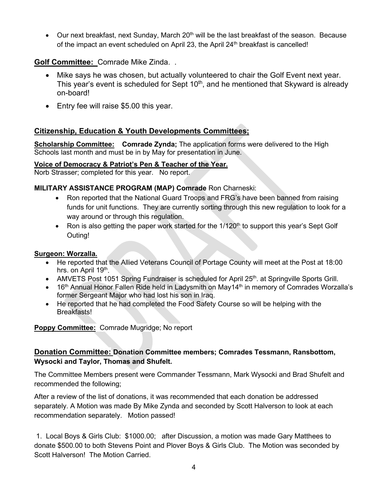• Our next breakfast, next Sunday, March 20<sup>th</sup> will be the last breakfast of the season. Because of the impact an event scheduled on April 23, the April  $24<sup>th</sup>$  breakfast is cancelled!

# **Golf Committee:** Comrade Mike Zinda. .

- Mike says he was chosen, but actually volunteered to chair the Golf Event next year. This year's event is scheduled for Sept  $10<sup>th</sup>$ , and he mentioned that Skyward is already on-board!
- Entry fee will raise \$5.00 this year.

# **Citizenship, Education & Youth Developments Committees;**

**Scholarship Committee: Comrade Zynda;** The application forms were delivered to the High Schools last month and must be in by May for presentation in June.

#### **Voice of Democracy & Patriot's Pen & Teacher of the Year.**

Norb Strasser; completed for this year. No report.

#### **MILITARY ASSISTANCE PROGRAM (MAP) Comrade** Ron Charneski:

- Ron reported that the National Guard Troops and FRG's have been banned from raising funds for unit functions. They are currently sorting through this new regulation to look for a way around or through this regulation.
- Ron is also getting the paper work started for the  $1/120<sup>th</sup>$  to support this year's Sept Golf Outing!

#### **Surgeon: Worzalla.**

- He reported that the Allied Veterans Council of Portage County will meet at the Post at 18:00 hrs. on April 19<sup>th</sup>.
- AMVETS Post 1051 Spring Fundraiser is scheduled for April 25<sup>th</sup>. at Springville Sports Grill.
- 16<sup>th</sup> Annual Honor Fallen Ride held in Ladysmith on May14<sup>th</sup> in memory of Comrades Worzalla's former Sergeant Major who had lost his son in Iraq.
- He reported that he had completed the Food Safety Course so will be helping with the Breakfasts!

**Poppy Committee:** Comrade Mugridge; No report

# **Donation Committee: Donation Committee members; Comrades Tessmann, Ransbottom, Wysocki and Taylor, Thomas and Shufelt.**

The Committee Members present were Commander Tessmann, Mark Wysocki and Brad Shufelt and recommended the following;

After a review of the list of donations, it was recommended that each donation be addressed separately. A Motion was made By Mike Zynda and seconded by Scott Halverson to look at each recommendation separately. Motion passed!

1. Local Boys & Girls Club: \$1000.00; after Discussion, a motion was made Gary Matthees to donate \$500.00 to both Stevens Point and Plover Boys & Girls Club. The Motion was seconded by Scott Halverson! The Motion Carried.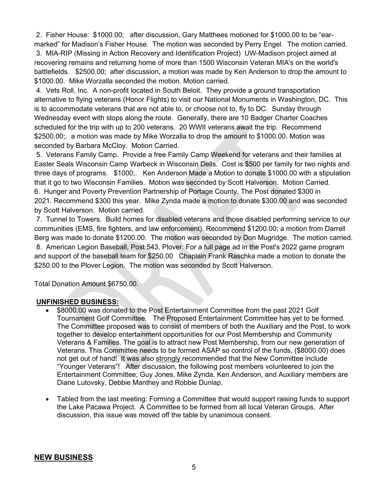2. Fisher House: \$1000.00; after discussion, Gary Matthees motioned for \$1000.00 to be "earmarked" for Madison's Fisher House. The motion was seconded by Perry Engel. The motion carried.

3. MIA-RIP (Missing in Action Recovery and Identification Project) UW-Madison project aimed at recovering remains and returning home of more than 1500 Wisconsin Veteran MIA's on the world's battlefields. \$2500.00; after discussion, a motion was made by Ken Anderson to drop the amount to \$1000.00. Mike Worzalla seconded the motion. Motion carried.

4. Vets Roll, Inc. A non-profit located in South Beloit. They provide a ground transportation alternative to flying veterans (Honor Flights) to visit our National Monuments in Washington, DC. This is to accommodate veterans that are not able to, or choose not to, fly to DC. Sunday through Wednesday event with stops along the route. Generally, there are 10 Badger Charter Coaches scheduled for the trip with up to 200 veterans. 20 WWII veterans await the trip. Recommend \$2500.00;. a motion was made by Mike Worzalla to drop the amount to \$1000.00. Motion was seconded by Barbara McCloy. Motion Carried.

5. Veterans Family Camp. Provide a free Family Camp Weekend for veterans and their families at Easter Seals Wisconsin Camp Warbeck in Wisconsin Dells. Cost is \$500 per family for two nights and three days of programs. \$1000;. Ken Anderson Made a Motion to donate \$1000.00 with a stipulation that it go to two Wisconsin Families. Motion was seconded by Scott Halverson. Motion Carried. 6. Hunger and Poverty Prevention Partnership of Portage County. The Post donated \$300 in 2021. Recommend \$300 this year. Mike Zynda made a motion to donate \$300.00 and was seconded by Scott Halverson. Motion carried.

7. Tunnel to Towers. Build homes for disabled veterans and those disabled performing service to our communities (EMS, fire fighters, and law enforcement). Recommend \$1200.00; a motion from Darrell Berg was made to donate \$1200.00. The motion was seconded by Don Mugridge. The motion carried. 8. American Legion Baseball, Post 543, Plover. For a full page ad in the Post's 2022 game program and support of the baseball team for \$250.00 Chaplain Frank Raschka made a motion to donate the \$250.00 to the Plover Legion. The motion was seconded by Scott Halverson.

Total Donation Amount \$6750.00.

#### **UNFINISHED BUSINESS:**

- \$8000.00 was donated to the Post Entertainment Committee from the past 2021 Golf Tournament Golf Committee. The Proposed Entertainment Committee has yet to be formed. The Committee proposed was to consist of members of both the Auxiliary and the Post, to work together to develop entertainment opportunities for our Post Membership and Community Veterans & Families. The goal is to attract new Post Membership, from our new generation of Veterans. This Committee needs to be formed ASAP so control of the funds, (\$8000.00) does not get out of hand! It was also strongly recommended that the New Committee include "Younger Veterans"! After discussion, the following post members volunteered to join the Entertainment Committee; Guy Jones, Mike Zynda, Ken Anderson, and Auxiliary members are Diane Lutovsky, Debbie Manthey and Robbie Dunlap.
- Tabled from the last meeting: Forming a Committee that would support raising funds to support the Lake Pacawa Project. A Committee to be formed from all local Veteran Groups. After discussion, this issue was moved off the table by unanimous consent.

#### **NEW BUSINESS**